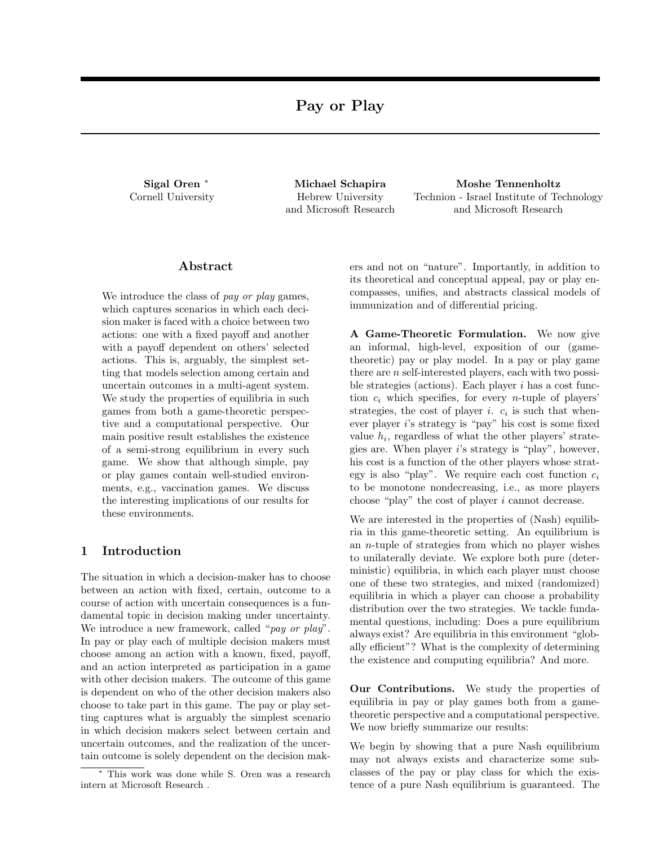Sigal Oren<sup>\*</sup> Cornell University

Michael Schapira Hebrew University and Microsoft Research

Moshe Tennenholtz Technion - Israel Institute of Technology and Microsoft Research

# Abstract

We introduce the class of *pay or play* games, which captures scenarios in which each decision maker is faced with a choice between two actions: one with a fixed payoff and another with a payoff dependent on others' selected actions. This is, arguably, the simplest setting that models selection among certain and uncertain outcomes in a multi-agent system. We study the properties of equilibria in such games from both a game-theoretic perspective and a computational perspective. Our main positive result establishes the existence of a semi-strong equilibrium in every such game. We show that although simple, pay or play games contain well-studied environments, e.g., vaccination games. We discuss the interesting implications of our results for these environments.

# 1 Introduction

The situation in which a decision-maker has to choose between an action with fixed, certain, outcome to a course of action with uncertain consequences is a fundamental topic in decision making under uncertainty. We introduce a new framework, called "*pay or play*". In pay or play each of multiple decision makers must choose among an action with a known, fixed, payoff, and an action interpreted as participation in a game with other decision makers. The outcome of this game is dependent on who of the other decision makers also choose to take part in this game. The pay or play setting captures what is arguably the simplest scenario in which decision makers select between certain and uncertain outcomes, and the realization of the uncertain outcome is solely dependent on the decision makers and not on "nature". Importantly, in addition to its theoretical and conceptual appeal, pay or play encompasses, unifies, and abstracts classical models of immunization and of differential pricing.

A Game-Theoretic Formulation. We now give an informal, high-level, exposition of our (gametheoretic) pay or play model. In a pay or play game there are *n* self-interested players, each with two possible strategies (actions). Each player *i* has a cost function  $c_i$  which specifies, for every *n*-tuple of players' strategies, the cost of player *i*.  $c_i$  is such that whenever player *i*'s strategy is "pay" his cost is some fixed value  $h_i$ , regardless of what the other players' strategies are. When player *i*'s strategy is "play", however, his cost is a function of the other players whose strategy is also "play". We require each cost function *c<sup>i</sup>* to be monotone nondecreasing, i.e., as more players choose "play" the cost of player *i* cannot decrease.

We are interested in the properties of (Nash) equilibria in this game-theoretic setting. An equilibrium is an *n*-tuple of strategies from which no player wishes to unilaterally deviate. We explore both pure (deterministic) equilibria, in which each player must choose one of these two strategies, and mixed (randomized) equilibria in which a player can choose a probability distribution over the two strategies. We tackle fundamental questions, including: Does a pure equilibrium always exist? Are equilibria in this environment "globally efficient"? What is the complexity of determining the existence and computing equilibria? And more.

Our Contributions. We study the properties of equilibria in pay or play games both from a gametheoretic perspective and a computational perspective. We now briefly summarize our results:

We begin by showing that a pure Nash equilibrium may not always exists and characterize some subclasses of the pay or play class for which the existence of a pure Nash equilibrium is guaranteed. The

This work was done while S. Oren was a research intern at Microsoft Research .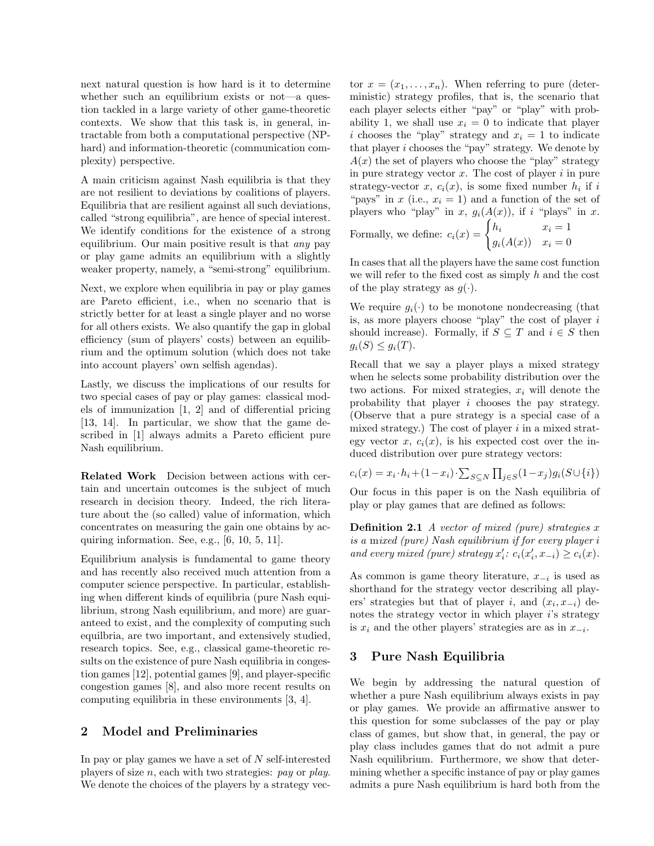next natural question is how hard is it to determine whether such an equilibrium exists or not—a question tackled in a large variety of other game-theoretic contexts. We show that this task is, in general, intractable from both a computational perspective (NPhard) and information-theoretic (communication complexity) perspective.

A main criticism against Nash equilibria is that they are not resilient to deviations by coalitions of players. Equilibria that are resilient against all such deviations, called "strong equilibria", are hence of special interest. We identify conditions for the existence of a strong equilibrium. Our main positive result is that *any* pay or play game admits an equilibrium with a slightly weaker property, namely, a "semi-strong" equilibrium.

Next, we explore when equilibria in pay or play games are Pareto efficient, i.e., when no scenario that is strictly better for at least a single player and no worse for all others exists. We also quantify the gap in global efficiency (sum of players' costs) between an equilibrium and the optimum solution (which does not take into account players' own selfish agendas).

Lastly, we discuss the implications of our results for two special cases of pay or play games: classical models of immunization  $[1, 2]$  and of differential pricing [13, 14]. In particular, we show that the game described in [1] always admits a Pareto efficient pure Nash equilibrium.

Related Work Decision between actions with certain and uncertain outcomes is the subject of much research in decision theory. Indeed, the rich literature about the (so called) value of information, which concentrates on measuring the gain one obtains by acquiring information. See, e.g., [6, 10, 5, 11].

Equilibrium analysis is fundamental to game theory and has recently also received much attention from a computer science perspective. In particular, establishing when different kinds of equilibria (pure Nash equilibrium, strong Nash equilibrium, and more) are guaranteed to exist, and the complexity of computing such equilbria, are two important, and extensively studied, research topics. See, e.g., classical game-theoretic results on the existence of pure Nash equilibria in congestion games [12], potential games [9], and player-specific congestion games [8], and also more recent results on computing equilibria in these environments [3, 4].

# 2 Model and Preliminaries

In pay or play games we have a set of *N* self-interested players of size *n*, each with two strategies: *pay* or *play*. We denote the choices of the players by a strategy vector  $x = (x_1, \ldots, x_n)$ . When referring to pure (deterministic) strategy profiles, that is, the scenario that each player selects either "pay" or "play" with probability 1, we shall use  $x_i = 0$  to indicate that player *i* chooses the "play" strategy and  $x_i = 1$  to indicate that player *i* chooses the "pay" strategy. We denote by  $A(x)$  the set of players who choose the "play" strategy in pure strategy vector *x*. The cost of player *i* in pure strategy-vector  $x$ ,  $c_i(x)$ , is some fixed number  $h_i$  if  $i$ "pays" in  $x$  (i.e.,  $x_i = 1$ ) and a function of the set of players who "play" in *x*,  $g_i(A(x))$ , if *i* "plays" in *x*. Formally, we define:  $c_i(x) = \begin{cases} h_i & x_i = 1 \\ (1, 0) & x_i = 0 \end{cases}$  $g_i(A(x))$   $x_i = 0$ 

In cases that all the players have the same cost function we will refer to the fixed cost as simply *h* and the cost of the play strategy as  $g(\cdot)$ .

We require  $q_i(\cdot)$  to be monotone nondecreasing (that is, as more players choose "play" the cost of player *i* should increase). Formally, if  $S \subseteq T$  and  $i \in S$  then  $g_i(S) \leq g_i(T)$ .

Recall that we say a player plays a mixed strategy when he selects some probability distribution over the two actions. For mixed strategies, *x<sup>i</sup>* will denote the probability that player *i* chooses the pay strategy. (Observe that a pure strategy is a special case of a mixed strategy.) The cost of player *i* in a mixed strategy vector  $x$ ,  $c_i(x)$ , is his expected cost over the induced distribution over pure strategy vectors:

$$
c_i(x) = x_i \cdot h_i + (1 - x_i) \cdot \sum_{S \subseteq N} \prod_{j \in S} (1 - x_j) g_i(S \cup \{i\})
$$

Our focus in this paper is on the Nash equilibria of play or play games that are defined as follows:

Definition 2.1 *A vector of mixed (pure) strategies x is a* m*ixed (pure) Nash equilibrium if for every player i and every mixed (pure) strategy*  $x'_i$ :  $c_i(x'_i, x_{-i}) \ge c_i(x)$ .

As common is game theory literature,  $x_{-i}$  is used as shorthand for the strategy vector describing all players' strategies but that of player *i*, and  $(x_i, x_{-i})$  denotes the strategy vector in which player *i*'s strategy is  $x_i$  and the other players' strategies are as in  $x_{-i}$ .

## 3 Pure Nash Equilibria

We begin by addressing the natural question of whether a pure Nash equilibrium always exists in pay or play games. We provide an affirmative answer to this question for some subclasses of the pay or play class of games, but show that, in general, the pay or play class includes games that do not admit a pure Nash equilibrium. Furthermore, we show that determining whether a specific instance of pay or play games admits a pure Nash equilibrium is hard both from the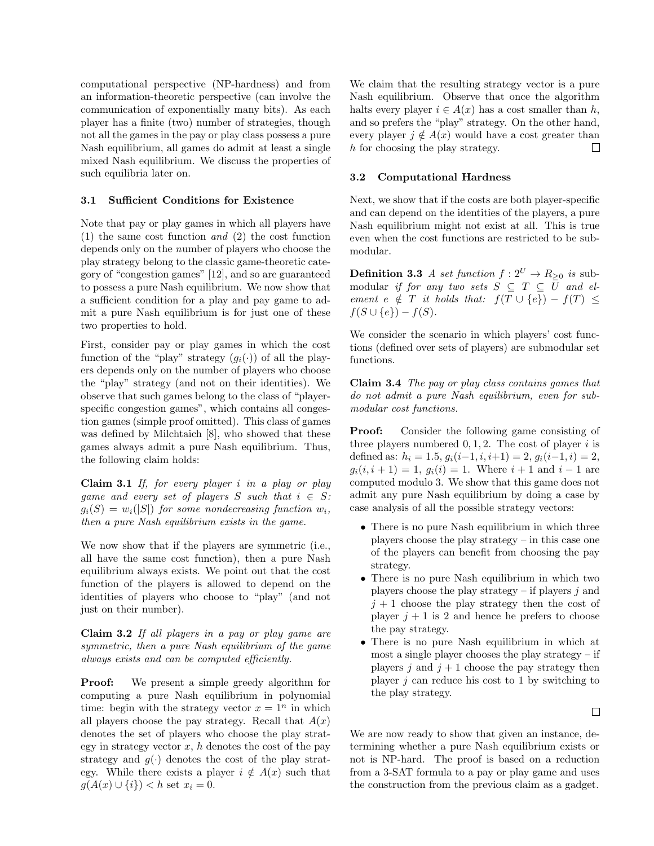computational perspective (NP-hardness) and from an information-theoretic perspective (can involve the communication of exponentially many bits). As each player has a finite (two) number of strategies, though not all the games in the pay or play class possess a pure Nash equilibrium, all games do admit at least a single mixed Nash equilibrium. We discuss the properties of such equilibria later on.

## 3.1 Sufficient Conditions for Existence

Note that pay or play games in which all players have (1) the same cost function *and* (2) the cost function depends only on the *n*umber of players who choose the play strategy belong to the classic game-theoretic category of "congestion games" [12], and so are guaranteed to possess a pure Nash equilibrium. We now show that a sufficient condition for a play and pay game to admit a pure Nash equilibrium is for just one of these two properties to hold.

First, consider pay or play games in which the cost function of the "play" strategy  $(q_i(\cdot))$  of all the players depends only on the number of players who choose the "play" strategy (and not on their identities). We observe that such games belong to the class of "playerspecific congestion games", which contains all congestion games (simple proof omitted). This class of games was defined by Milchtaich [8], who showed that these games always admit a pure Nash equilibrium. Thus, the following claim holds:

Claim 3.1 *If, for every player i in a play or play game and every set of players*  $S$  *such that*  $i \in S$ *:*  $g_i(S) = w_i(|S|)$  *for some nondecreasing function*  $w_i$ *, then a pure Nash equilibrium exists in the game.*

We now show that if the players are symmetric (i.e., all have the same cost function), then a pure Nash equilibrium always exists. We point out that the cost function of the players is allowed to depend on the identities of players who choose to "play" (and not just on their number).

Claim 3.2 *If all players in a pay or play game are symmetric, then a pure Nash equilibrium of the game always exists and can be computed eciently.*

Proof: We present a simple greedy algorithm for computing a pure Nash equilibrium in polynomial time: begin with the strategy vector  $x = 1^n$  in which all players choose the pay strategy. Recall that  $A(x)$ denotes the set of players who choose the play strategy in strategy vector  $x$ ,  $h$  denotes the cost of the pay strategy and  $q(\cdot)$  denotes the cost of the play strategy. While there exists a player  $i \notin A(x)$  such that  $g(A(x) \cup \{i\}) < h$  set  $x_i = 0$ .

We claim that the resulting strategy vector is a pure Nash equilibrium. Observe that once the algorithm halts every player  $i \in A(x)$  has a cost smaller than h, and so prefers the "play" strategy. On the other hand, every player  $j \notin A(x)$  would have a cost greater than h for choosing the play strategy. *h* for choosing the play strategy.

#### 3.2 Computational Hardness

Next, we show that if the costs are both player-specific and can depend on the identities of the players, a pure Nash equilibrium might not exist at all. This is true even when the cost functions are restricted to be submodular.

**Definition 3.3** *A set function*  $f: 2^U \rightarrow R_{\geq 0}$  *is* submodular *if for any two sets*  $S \subseteq T \subseteq \overline{U}$  *and element*  $e \notin T$  *it holds that:*  $f(T \cup \{e\}) - f(T) \le$  $f(S \cup \{e\}) - f(S)$ .

We consider the scenario in which players' cost functions (defined over sets of players) are submodular set functions.

Claim 3.4 *The pay or play class contains games that do not admit a pure Nash equilibrium, even for submodular cost functions.*

**Proof:** Consider the following game consisting of three players numbered  $0, 1, 2$ . The cost of player *i* is defined as:  $h_i = 1.5$ ,  $g_i(i-1, i, i+1) = 2$ ,  $g_i(i-1, i) = 2$ ,  $g_i(i, i + 1) = 1$ ,  $g_i(i) = 1$ . Where  $i + 1$  and  $i - 1$  are computed modulo 3. We show that this game does not admit any pure Nash equilibrium by doing a case by case analysis of all the possible strategy vectors:

- There is no pure Nash equilibrium in which three players choose the play strategy – in this case one of the players can benefit from choosing the pay strategy.
- There is no pure Nash equilibrium in which two players choose the play strategy – if players *j* and  $j + 1$  choose the play strategy then the cost of player  $j + 1$  is 2 and hence he prefers to choose the pay strategy.
- *•* There is no pure Nash equilibrium in which at most a single player chooses the play strategy  $-$  if players  $j$  and  $j + 1$  choose the pay strategy then player *j* can reduce his cost to 1 by switching to the play strategy.

 $\Box$ 

We are now ready to show that given an instance, determining whether a pure Nash equilibrium exists or not is NP-hard. The proof is based on a reduction from a 3-SAT formula to a pay or play game and uses the construction from the previous claim as a gadget.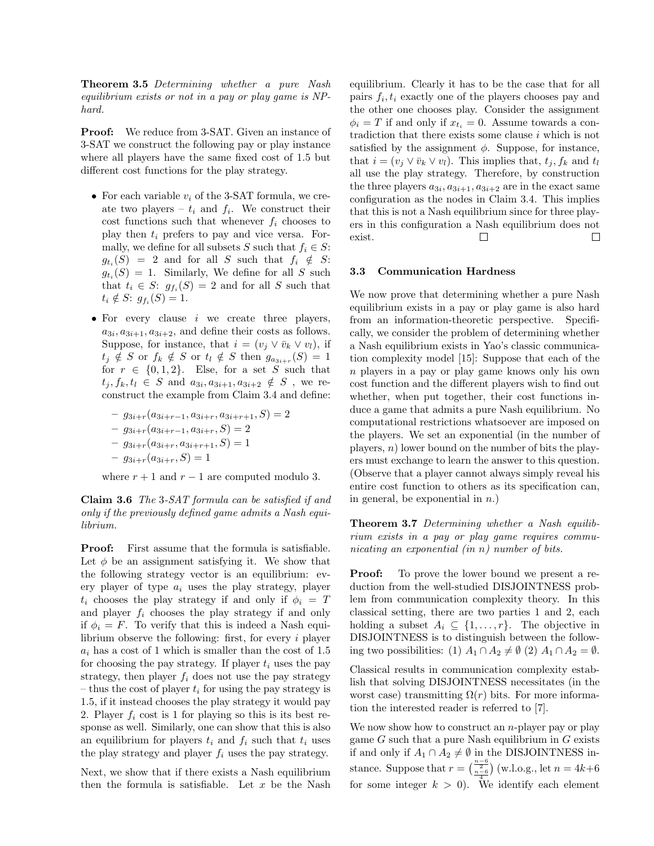Theorem 3.5 *Determining whether a pure Nash equilibrium exists or not in a pay or play game is NPhard.*

**Proof:** We reduce from 3-SAT. Given an instance of 3-SAT we construct the following pay or play instance where all players have the same fixed cost of 1*.*5 but different cost functions for the play strategy.

- *•* For each variable *v<sup>i</sup>* of the 3-SAT formula, we create two players –  $t_i$  and  $f_i$ . We construct their cost functions such that whenever  $f_i$  chooses to play then *t<sup>i</sup>* prefers to pay and vice versa. Formally, we define for all subsets *S* such that  $f_i \in S$ :  $g_{t_i}(S) = 2$  and for all *S* such that  $f_i \notin S$ :  $g_t(S) = 1$ . Similarly, We define for all *S* such that  $t_i \in S$ :  $g_{f_i}(S) = 2$  and for all *S* such that  $t_i \notin S$ :  $g_{f_i}(S) = 1$ .
- *•* For every clause *i* we create three players,  $a_{3i}, a_{3i+1}, a_{3i+2}$ , and define their costs as follows. Suppose, for instance, that  $i = (v_j \vee \overline{v}_k \vee v_l)$ , if  $t_j \notin S$  or  $f_k \notin S$  or  $t_l \notin S$  then  $g_{a_{3i+r}}(S)=1$ for  $r \in \{0, 1, 2\}$ . Else, for a set *S* such that  $t_i, f_k, t_l \in S$  and  $a_{3i}, a_{3i+1}, a_{3i+2} \notin S$ , we reconstruct the example from Claim 3.4 and define:

$$
- g_{3i+r}(a_{3i+r-1}, a_{3i+r}, a_{3i+r+1}, S) = 2
$$
  

$$
- g_{3i+r}(a_{3i+r-1}, a_{3i+r}, S) = 2
$$
  

$$
- g_{3i+r}(a_{3i+r}, a_{3i+r+1}, S) = 1
$$
  

$$
- g_{3i+r}(a_{3i+r}, S) = 1
$$

where  $r + 1$  and  $r - 1$  are computed modulo 3.

Claim 3.6 *The* 3*-SAT formula can be satisfied if and only if the previously defined game admits a Nash equilibrium.*

Proof: First assume that the formula is satisfiable. Let  $\phi$  be an assignment satisfying it. We show that the following strategy vector is an equilibrium: every player of type  $a_i$  uses the play strategy, player  $t_i$  chooses the play strategy if and only if  $\phi_i = T$ and player  $f_i$  chooses the play strategy if and only if  $\phi_i = F$ . To verify that this is indeed a Nash equilibrium observe the following: first, for every *i* player *a<sup>i</sup>* has a cost of 1 which is smaller than the cost of 1*.*5 for choosing the pay strategy. If player  $t_i$  uses the pay strategy, then player  $f_i$  does not use the pay strategy – thus the cost of player  $t_i$  for using the pay strategy is 1*.*5, if it instead chooses the play strategy it would pay 2. Player  $f_i$  cost is 1 for playing so this is its best response as well. Similarly, one can show that this is also an equilibrium for players  $t_i$  and  $f_i$  such that  $t_i$  uses the play strategy and player  $f_i$  uses the pay strategy.

Next, we show that if there exists a Nash equilibrium then the formula is satisfiable. Let  $x$  be the Nash

equilibrium. Clearly it has to be the case that for all pairs  $f_i, t_i$  exactly one of the players chooses pay and the other one chooses play. Consider the assignment  $\phi_i = T$  if and only if  $x_{t_i} = 0$ . Assume towards a contradiction that there exists some clause *i* which is not satisfied by the assignment  $\phi$ . Suppose, for instance, that  $i = (v_j \vee \overline{v}_k \vee v_l)$ . This implies that,  $t_j, f_k$  and  $t_l$ all use the play strategy. Therefore, by construction the three players  $a_{3i}, a_{3i+1}, a_{3i+2}$  are in the exact same configuration as the nodes in Claim 3.4. This implies that this is not a Nash equilibrium since for three players in this configuration a Nash equilibrium does not  $\Box$ П exist.

## 3.3 Communication Hardness

We now prove that determining whether a pure Nash equilibrium exists in a pay or play game is also hard from an information-theoretic perspective. Specifically, we consider the problem of determining whether a Nash equilibrium exists in Yao's classic communication complexity model [15]: Suppose that each of the *n* players in a pay or play game knows only his own cost function and the different players wish to find out whether, when put together, their cost functions induce a game that admits a pure Nash equilibrium. No computational restrictions whatsoever are imposed on the players. We set an exponential (in the number of players, *n*) lower bound on the number of bits the players must exchange to learn the answer to this question. (Observe that a player cannot always simply reveal his entire cost function to others as its specification can, in general, be exponential in *n*.)

Theorem 3.7 *Determining whether a Nash equilibrium exists in a pay or play game requires communicating an exponential (in n) number of bits.*

**Proof:** To prove the lower bound we present a reduction from the well-studied DISJOINTNESS problem from communication complexity theory. In this classical setting, there are two parties 1 and 2, each holding a subset  $A_i \subseteq \{1, \ldots, r\}$ . The objective in DISJOINTNESS is to distinguish between the following two possibilities: (1)  $A_1 \cap A_2 \neq \emptyset$  (2)  $A_1 \cap A_2 = \emptyset$ .

Classical results in communication complexity establish that solving DISJOINTNESS necessitates (in the worst case) transmitting  $\Omega(r)$  bits. For more information the interested reader is referred to [7].

We now show how to construct an *n*-player pay or play game *G* such that a pure Nash equilibrium in *G* exists if and only if  $A_1 \cap A_2 \neq \emptyset$  in the DISJOINTNESS instance. Suppose that  $r = \left(\frac{n-6}{n-6}\right)$  (w.l.o.g., let  $n = 4k+6$ for some integer  $k > 0$ ). We identify each element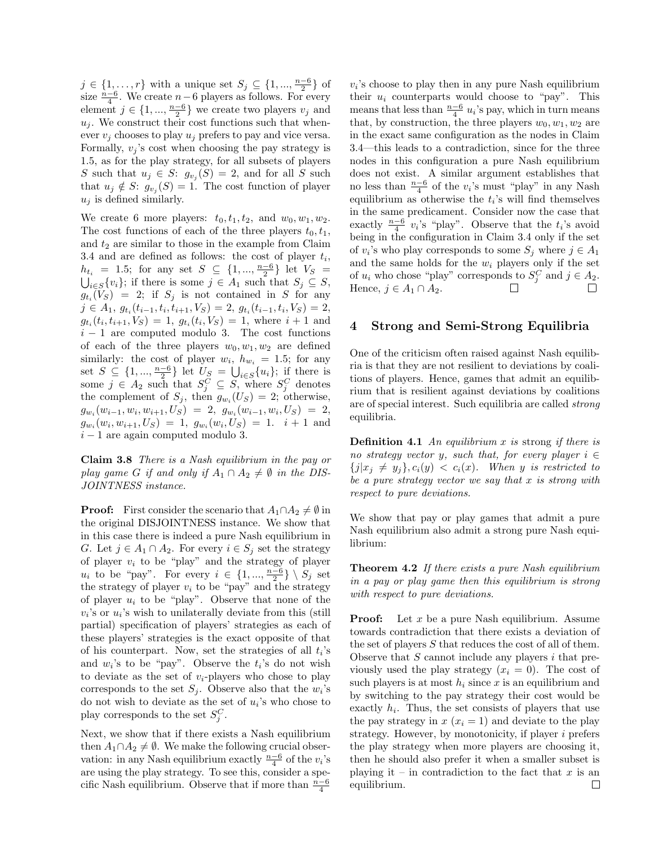$j \in \{1, ..., r\}$  with a unique set  $S_j \subseteq \{1, ..., \frac{n-6}{2}\}$  of size  $\frac{n-6}{4}$ . We create  $n-6$  players as follows. For every element  $j \in \{1, ..., \frac{n-6}{2}\}$  we create two players  $v_j$  and  $u_j$ . We construct their cost functions such that whenever  $v_j$  chooses to play  $u_j$  prefers to pay and vice versa. Formally,  $v_j$ 's cost when choosing the pay strategy is 1*.*5, as for the play strategy, for all subsets of players *S* such that  $u_j \in S$ :  $g_{v_j}(S) = 2$ , and for all *S* such that  $u_j \notin S$ :  $g_{v_j}(S) = 1$ . The cost function of player  $u_j$  is defined similarly.

We create 6 more players:  $t_0, t_1, t_2,$  and  $w_0, w_1, w_2$ . The cost functions of each of the three players  $t_0, t_1$ , and  $t_2$  are similar to those in the example from Claim 3.4 and are defined as follows: the cost of player *ti*,  $h_{t_i} = 1.5$ ; for any set  $S \subseteq \{1, ..., \frac{n-6}{2}\}$  let  $V_S = \bigcup_{i \in S} \{v_i\}$ ; if there is some  $j \in A_1$  such that  $S_j \subseteq S$ ,  $g_{t_i}(V_S) = 2$ ; if  $S_j$  is not contained in *S* for any  $j \in A_1, g_{t_i}(t_{i-1}, t_i, t_{i+1}, V_S) = 2, g_{t_i}(t_{i-1}, t_i, V_S) = 2,$  $g_{t_i}(t_i, t_{i+1}, V_S) = 1$ ,  $g_{t_i}(t_i, V_S) = 1$ , where  $i + 1$  and  $i-1$  are computed modulo 3. The cost functions of each of the three players  $w_0, w_1, w_2$  are defined similarly: the cost of player  $w_i$ ,  $h_{w_i} = 1.5$ ; for any set  $S \subseteq \{1, ..., \frac{n-6}{2}\}$  let  $U_S = \bigcup_{i \in S} \{u_i\}$ ; if there is some  $j \in A_2$  such that  $S_j^C \subseteq S$ , where  $S_j^C$  denotes the complement of  $S_j$ , then  $g_{w_i}(U_S) = 2$ ; otherwise,  $g_{w_i}(w_{i-1}, w_i, w_{i+1}, U_S) = 2, g_{w_i}(w_{i-1}, w_i, U_S) = 2,$  $g_{w_i}(w_i, w_{i+1}, U_S) = 1$ ,  $g_{w_i}(w_i, U_S) = 1$ .  $i + 1$  and  $i-1$  are again computed modulo 3.

Claim 3.8 *There is a Nash equilibrium in the pay or play game G if and only if*  $A_1 \cap A_2 \neq \emptyset$  *in the DIS-JOINTNESS instance.*

**Proof:** First consider the scenario that  $A_1 \cap A_2 \neq \emptyset$  in the original DISJOINTNESS instance. We show that in this case there is indeed a pure Nash equilibrium in *G*. Let  $j \in A_1 \cap A_2$ . For every  $i \in S_j$  set the strategy of player  $v_i$  to be "play" and the strategy of player *u<sub>i</sub>* to be "pay". For every  $i \in \{1, ..., \frac{n-6}{2}\} \setminus S_j$  set the strategy of player  $v_i$  to be "pay" and the strategy of player  $u_i$  to be "play". Observe that none of the  $v_i$ 's or  $u_i$ 's wish to unilaterally deviate from this (still partial) specification of players' strategies as each of these players' strategies is the exact opposite of that of his counterpart. Now, set the strategies of all *ti*'s and  $w_i$ 's to be "pay". Observe the  $t_i$ 's do not wish to deviate as the set of *vi*-players who chose to play corresponds to the set  $S_i$ . Observe also that the  $w_i$ 's do not wish to deviate as the set of  $u_i$ 's who chose to play corresponds to the set  $S_j^C$ .

Next, we show that if there exists a Nash equilibrium then  $A_1 \cap A_2 \neq \emptyset$ . We make the following crucial observation: in any Nash equilibrium exactly  $\frac{n-6}{4}$  of the  $v_i$ 's are using the play strategy. To see this, consider a specific Nash equilibrium. Observe that if more than  $\frac{n-6}{4}$ 

 $v_i$ 's choose to play then in any pure Nash equilibrium their  $u_i$  counterparts would choose to "pay". This means that less than  $\frac{n-6}{4}$  u<sub>i</sub>'s pay, which in turn means that, by construction, the three players  $w_0, w_1, w_2$  are in the exact same configuration as the nodes in Claim 3.4—this leads to a contradiction, since for the three nodes in this configuration a pure Nash equilibrium does not exist. A similar argument establishes that no less than  $\frac{n-6}{4}$  of the *v*<sub>*i*</sub>'s must "play" in any Nash equilibrium as otherwise the *ti*'s will find themselves in the same predicament. Consider now the case that exactly  $\frac{n-6}{4}$   $v_i$ 's "play". Observe that the  $t_i$ 's avoid being in the configuration in Claim 3.4 only if the set of  $v_i$ 's who play corresponds to some  $S_i$  where  $j \in A_1$ and the same holds for the  $w_i$  players only if the set of  $u_i$  who chose "play" corresponds to  $S_j^C$  and  $j \in A_2$ . Hence,  $j \in A_1 \cap A_2$ .  $\Box$ 

## 4 Strong and Semi-Strong Equilibria

One of the criticism often raised against Nash equilibria is that they are not resilient to deviations by coalitions of players. Hence, games that admit an equilibrium that is resilient against deviations by coalitions are of special interest. Such equilibria are called *strong* equilibria.

Definition 4.1 *An equilibrium x is* strong *if there is no strategy vector y, such that, for every player*  $i \in$  $\{j|x_j \neq y_j\}, c_i(y) < c_i(x)$ *. When y is restricted to be a pure strategy vector we say that x is strong with respect to pure deviations.*

We show that pay or play games that admit a pure Nash equilibrium also admit a strong pure Nash equilibrium:

Theorem 4.2 *If there exists a pure Nash equilibrium in a pay or play game then this equilibrium is strong with respect to pure deviations.*

**Proof:** Let *x* be a pure Nash equilibrium. Assume towards contradiction that there exists a deviation of the set of players *S* that reduces the cost of all of them. Observe that *S* cannot include any players *i* that previously used the play strategy  $(x_i = 0)$ . The cost of such players is at most  $h_i$  since  $x$  is an equilibrium and by switching to the pay strategy their cost would be exactly  $h_i$ . Thus, the set consists of players that use the pay strategy in  $x(x_i = 1)$  and deviate to the play strategy. However, by monotonicity, if player *i* prefers the play strategy when more players are choosing it, then he should also prefer it when a smaller subset is playing it – in contradiction to the fact that  $x$  is an equilibrium. $\Box$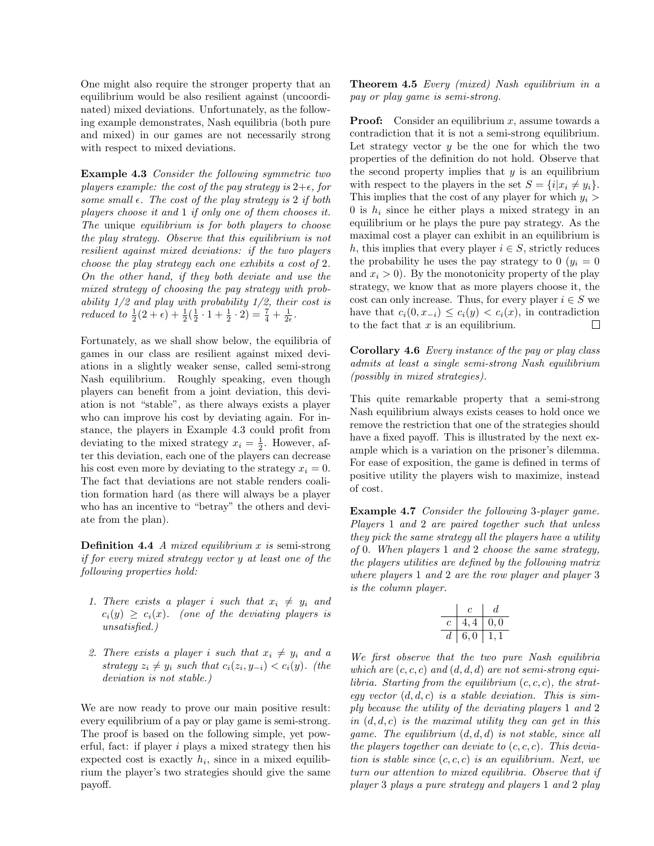One might also require the stronger property that an equilibrium would be also resilient against (uncoordinated) mixed deviations. Unfortunately, as the following example demonstrates, Nash equilibria (both pure and mixed) in our games are not necessarily strong with respect to mixed deviations.

Example 4.3 *Consider the following symmetric two players example: the cost of the pay strategy is*  $2+\epsilon$ *, for some small*  $\epsilon$ *. The cost of the play strategy is* 2 *if both players choose it and* 1 *if only one of them chooses it. The* unique *equilibrium is for both players to choose the play strategy. Observe that this equilibrium is not resilient against mixed deviations: if the two players choose the play strategy each one exhibits a cost of* 2*. On the other hand, if they both deviate and use the mixed strategy of choosing the pay strategy with probability 1/2 and play with probability 1/2, their cost is reduced to*  $\frac{1}{2}(2+\epsilon) + \frac{1}{2}(\frac{1}{2} \cdot 1 + \frac{1}{2} \cdot 2) = \frac{7}{4} + \frac{1}{2\epsilon}$ .

Fortunately, as we shall show below, the equilibria of games in our class are resilient against mixed deviations in a slightly weaker sense, called semi-strong Nash equilibrium. Roughly speaking, even though players can benefit from a joint deviation, this deviation is not "stable", as there always exists a player who can improve his cost by deviating again. For instance, the players in Example 4.3 could profit from deviating to the mixed strategy  $x_i = \frac{1}{2}$ . However, after this deviation, each one of the players can decrease his cost even more by deviating to the strategy  $x_i = 0$ . The fact that deviations are not stable renders coalition formation hard (as there will always be a player who has an incentive to "betray" the others and deviate from the plan).

Definition 4.4 *A mixed equilibrium x is* semi-strong *if for every mixed strategy vector y at least one of the following properties hold:*

- *1. There exists a player i such that*  $x_i \neq y_i$  and  $c_i(y) \geq c_i(x)$ *. (one of the deviating players is unsatisfied.)*
- 2. There exists a player *i* such that  $x_i \neq y_i$  and a *strategy*  $z_i \neq y_i$  *such that*  $c_i(z_i, y_{-i}) < c_i(y)$ *. (the deviation is not stable.)*

We are now ready to prove our main positive result: every equilibrium of a pay or play game is semi-strong. The proof is based on the following simple, yet powerful, fact: if player *i* plays a mixed strategy then his expected cost is exactly  $h_i$ , since in a mixed equilibrium the player's two strategies should give the same payoff.

Theorem 4.5 *Every (mixed) Nash equilibrium in a pay or play game is semi-strong.*

Proof: Consider an equilibrium *x*, assume towards a contradiction that it is not a semi-strong equilibrium. Let strategy vector  $y$  be the one for which the two properties of the definition do not hold. Observe that the second property implies that *y* is an equilibrium with respect to the players in the set  $S = \{i | x_i \neq y_i\}$ . This implies that the cost of any player for which *y<sup>i</sup> >* 0 is  $h_i$  since he either plays a mixed strategy in an equilibrium or he plays the pure pay strategy. As the maximal cost a player can exhibit in an equilibrium is *h*, this implies that every player  $i \in S$ , strictly reduces the probability he uses the pay strategy to  $0 \ (y_i = 0)$ and  $x_i > 0$ ). By the monotonicity property of the play strategy, we know that as more players choose it, the cost can only increase. Thus, for every player  $i \in S$  we have that  $c_i(0, x_{-i}) \leq c_i(y) < c_i(x)$ , in contradiction to the fact that x is an equilibrium. to the fact that *x* is an equilibrium.

Corollary 4.6 *Every instance of the pay or play class admits at least a single semi-strong Nash equilibrium (possibly in mixed strategies).*

This quite remarkable property that a semi-strong Nash equilibrium always exists ceases to hold once we remove the restriction that one of the strategies should have a fixed payoff. This is illustrated by the next example which is a variation on the prisoner's dilemma. For ease of exposition, the game is defined in terms of positive utility the players wish to maximize, instead of cost.

Example 4.7 *Consider the following* 3*-player game. Players* 1 *and* 2 *are paired together such that unless they pick the same strategy all the players have a utility of* 0*. When players* 1 *and* 2 *choose the same strategy, the players utilities are defined by the following matrix where players* 1 *and* 2 *are the row player and player* 3 *is the column player.*

|   | c       | đ.  |
|---|---------|-----|
| C | 4,4     | 0,0 |
| d | $6.0\,$ |     |

*We first observe that the two pure Nash equilibria which are* (*c, c, c*) *and* (*d, d, d*) *are not semi-strong equilibria. Starting from the equilibrium* (*c, c, c*)*, the strategy vector* (*d, d, c*) *is a stable deviation. This is simply because the utility of the deviating players* 1 *and* 2 *in* (*d, d, c*) *is the maximal utility they can get in this game. The equilibrium* (*d, d, d*) *is not stable, since all the players together can deviate to* (*c, c, c*)*. This deviation is stable since* (*c, c, c*) *is an equilibrium. Next, we turn our attention to mixed equilibria. Observe that if player* 3 *plays a pure strategy and players* 1 *and* 2 *play*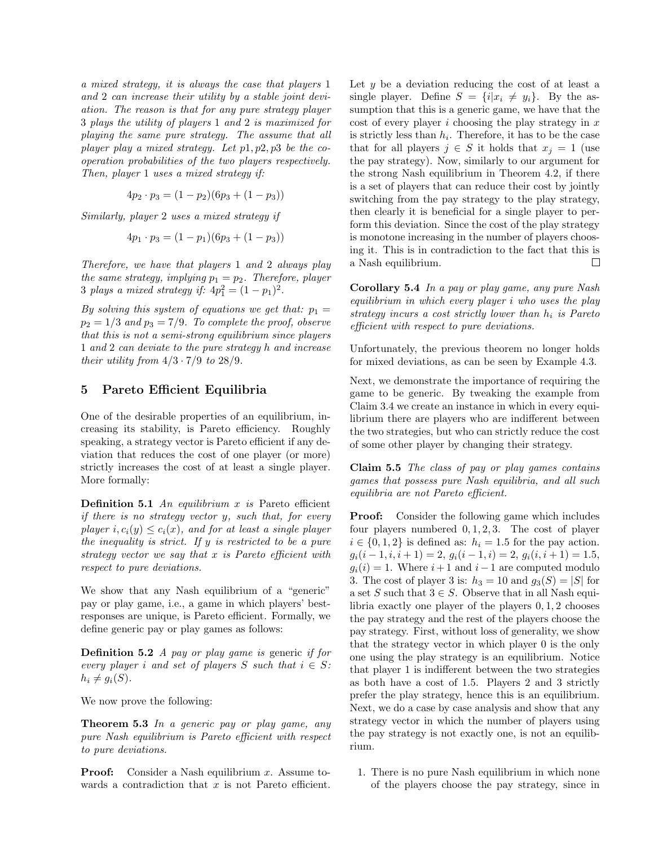*a mixed strategy, it is always the case that players* 1 *and* 2 *can increase their utility by a stable joint deviation. The reason is that for any pure strategy player* 3 *plays the utility of players* 1 *and* 2 *is maximized for playing the same pure strategy. The assume that all player play a mixed strategy. Let p*1*, p*2*, p*3 *be the cooperation probabilities of the two players respectively. Then, player* 1 *uses a mixed strategy if:*

$$
4p_2 \cdot p_3 = (1 - p_2)(6p_3 + (1 - p_3))
$$

*Similarly, player* 2 *uses a mixed strategy if*

$$
4p_1 \cdot p_3 = (1 - p_1)(6p_3 + (1 - p_3))
$$

*Therefore, we have that players* 1 *and* 2 *always play the same strategy, implying*  $p_1 = p_2$ *. Therefore, player* 3 *plays a mixed strategy if:*  $4p_1^2 = (1 - p_1)^2$ .

*By solving this system of equations we get that:*  $p_1 =$  $p_2 = 1/3$  *and*  $p_3 = 7/9$ *. To complete the proof, observe that this is not a semi-strong equilibrium since players* 1 *and* 2 *can deviate to the pure strategy h and increase their utility from*  $4/3 \cdot 7/9$  *to*  $28/9$ *.* 

## 5 Pareto Efficient Equilibria

One of the desirable properties of an equilibrium, increasing its stability, is Pareto efficiency. Roughly speaking, a strategy vector is Pareto efficient if any deviation that reduces the cost of one player (or more) strictly increases the cost of at least a single player. More formally:

**Definition 5.1** An equilibrium *x* is Pareto efficient *if there is no strategy vector y, such that, for every player*  $i, c_i(y) \leq c_i(x)$ *, and for at least a single player the inequality is strict. If y is restricted to be a pure strategy vector we say that x is Pareto ecient with respect to pure deviations.*

We show that any Nash equilibrium of a "generic" pay or play game, i.e., a game in which players' bestresponses are unique, is Pareto efficient. Formally, we define generic pay or play games as follows:

Definition 5.2 *A pay or play game is* generic *if for every player i* and set of players *S* such that  $i \in S$ :  $h_i \neq g_i(S)$ .

We now prove the following:

Theorem 5.3 *In a generic pay or play game, any pure Nash equilibrium is Pareto efficient with respect to pure deviations.*

Proof: Consider a Nash equilibrium *x*. Assume towards a contradiction that  $x$  is not Pareto efficient.

Let *y* be a deviation reducing the cost of at least a single player. Define  $S = \{i | x_i \neq y_i\}$ . By the assumption that this is a generic game, we have that the cost of every player *i* choosing the play strategy in *x* is strictly less than  $h_i$ . Therefore, it has to be the case that for all players  $j \in S$  it holds that  $x_j = 1$  (use the pay strategy). Now, similarly to our argument for the strong Nash equilibrium in Theorem 4.2, if there is a set of players that can reduce their cost by jointly switching from the pay strategy to the play strategy, then clearly it is beneficial for a single player to perform this deviation. Since the cost of the play strategy is monotone increasing in the number of players choosing it. This is in contradiction to the fact that this is a Nash equilibrium.  $\Box$ 

Corollary 5.4 *In a pay or play game, any pure Nash equilibrium in which every player i who uses the play strategy incurs a cost strictly lower than h<sup>i</sup> is Pareto ecient with respect to pure deviations.*

Unfortunately, the previous theorem no longer holds for mixed deviations, as can be seen by Example 4.3.

Next, we demonstrate the importance of requiring the game to be generic. By tweaking the example from Claim 3.4 we create an instance in which in every equilibrium there are players who are indifferent between the two strategies, but who can strictly reduce the cost of some other player by changing their strategy.

Claim 5.5 *The class of pay or play games contains games that possess pure Nash equilibria, and all such*  $equilibria$  are not Pareto efficient.

Proof: Consider the following game which includes four players numbered 0*,* 1*,* 2*,* 3. The cost of player  $i \in \{0, 1, 2\}$  is defined as:  $h_i = 1.5$  for the pay action.  $g_i(i-1,i,i+1) = 2, g_i(i-1,i) = 2, g_i(i,i+1) = 1.5,$  $g_i(i) = 1$ . Where  $i+1$  and  $i-1$  are computed modulo 3. The cost of player 3 is:  $h_3 = 10$  and  $g_3(S) = |S|$  for a set *S* such that  $3 \in S$ . Observe that in all Nash equilibria exactly one player of the players 0*,* 1*,* 2 chooses the pay strategy and the rest of the players choose the pay strategy. First, without loss of generality, we show that the strategy vector in which player 0 is the only one using the play strategy is an equilibrium. Notice that player 1 is indifferent between the two strategies as both have a cost of 1*.*5. Players 2 and 3 strictly prefer the play strategy, hence this is an equilibrium. Next, we do a case by case analysis and show that any strategy vector in which the number of players using the pay strategy is not exactly one, is not an equilibrium.

1. There is no pure Nash equilibrium in which none of the players choose the pay strategy, since in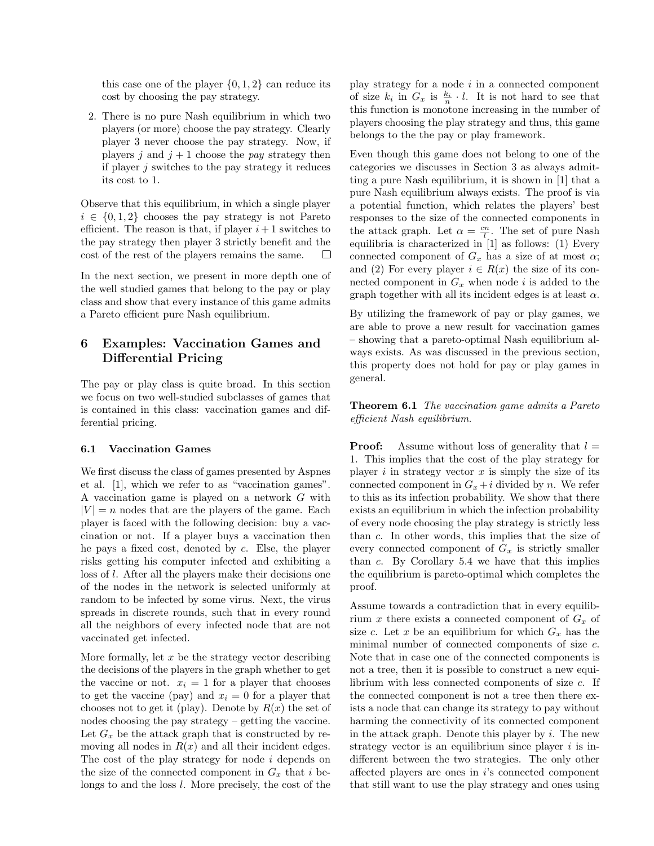this case one of the player *{*0*,* 1*,* 2*}* can reduce its cost by choosing the pay strategy.

2. There is no pure Nash equilibrium in which two players (or more) choose the pay strategy. Clearly player 3 never choose the pay strategy. Now, if players *j* and  $j + 1$  choose the *pay* strategy then if player *j* switches to the pay strategy it reduces its cost to 1.

Observe that this equilibrium, in which a single player  $i \in \{0, 1, 2\}$  chooses the pay strategy is not Pareto efficient. The reason is that, if player  $i+1$  switches to the pay strategy then player 3 strictly benefit and the cost of the rest of the players remains the same.  $\Box$ 

In the next section, we present in more depth one of the well studied games that belong to the pay or play class and show that every instance of this game admits a Pareto efficient pure Nash equilibrium.

# 6 Examples: Vaccination Games and Differential Pricing

The pay or play class is quite broad. In this section we focus on two well-studied subclasses of games that is contained in this class: vaccination games and differential pricing.

#### 6.1 Vaccination Games

We first discuss the class of games presented by Aspnes et al. [1], which we refer to as "vaccination games". A vaccination game is played on a network *G* with  $|V| = n$  nodes that are the players of the game. Each player is faced with the following decision: buy a vaccination or not. If a player buys a vaccination then he pays a fixed cost, denoted by *c*. Else, the player risks getting his computer infected and exhibiting a loss of *l*. After all the players make their decisions one of the nodes in the network is selected uniformly at random to be infected by some virus. Next, the virus spreads in discrete rounds, such that in every round all the neighbors of every infected node that are not vaccinated get infected.

More formally, let *x* be the strategy vector describing the decisions of the players in the graph whether to get the vaccine or not.  $x_i = 1$  for a player that chooses to get the vaccine (pay) and  $x_i = 0$  for a player that chooses not to get it (play). Denote by  $R(x)$  the set of nodes choosing the pay strategy – getting the vaccine. Let  $G_x$  be the attack graph that is constructed by removing all nodes in  $R(x)$  and all their incident edges. The cost of the play strategy for node *i* depends on the size of the connected component in  $G_x$  that *i* belongs to and the loss *l*. More precisely, the cost of the play strategy for a node *i* in a connected component of size  $k_i$  in  $G_x$  is  $\frac{k_i}{n} \cdot l$ . It is not hard to see that this function is monotone increasing in the number of players choosing the play strategy and thus, this game belongs to the the pay or play framework.

Even though this game does not belong to one of the categories we discusses in Section 3 as always admitting a pure Nash equilibrium, it is shown in [1] that a pure Nash equilibrium always exists. The proof is via a potential function, which relates the players' best responses to the size of the connected components in the attack graph. Let  $\alpha = \frac{cn}{l}$ . The set of pure Nash equilibria is characterized in [1] as follows: (1) Every connected component of  $G_x$  has a size of at most  $\alpha$ ; and (2) For every player  $i \in R(x)$  the size of its connected component in  $G_x$  when node *i* is added to the graph together with all its incident edges is at least  $\alpha$ .

By utilizing the framework of pay or play games, we are able to prove a new result for vaccination games – showing that a pareto-optimal Nash equilibrium always exists. As was discussed in the previous section, this property does not hold for pay or play games in general.

Theorem 6.1 *The vaccination game admits a Pareto ecient Nash equilibrium.*

**Proof:** Assume without loss of generality that  $l =$ 1. This implies that the cost of the play strategy for player  $i$  in strategy vector  $x$  is simply the size of its connected component in  $G_x + i$  divided by *n*. We refer to this as its infection probability. We show that there exists an equilibrium in which the infection probability of every node choosing the play strategy is strictly less than *c*. In other words, this implies that the size of every connected component of  $G_x$  is strictly smaller than *c*. By Corollary 5.4 we have that this implies the equilibrium is pareto-optimal which completes the proof.

Assume towards a contradiction that in every equilibrium *x* there exists a connected component of  $G_x$  of size *c*. Let *x* be an equilibrium for which  $G_x$  has the minimal number of connected components of size *c*. Note that in case one of the connected components is not a tree, then it is possible to construct a new equilibrium with less connected components of size *c*. If the connected component is not a tree then there exists a node that can change its strategy to pay without harming the connectivity of its connected component in the attack graph. Denote this player by *i*. The new strategy vector is an equilibrium since player *i* is indifferent between the two strategies. The only other affected players are ones in *i*'s connected component that still want to use the play strategy and ones using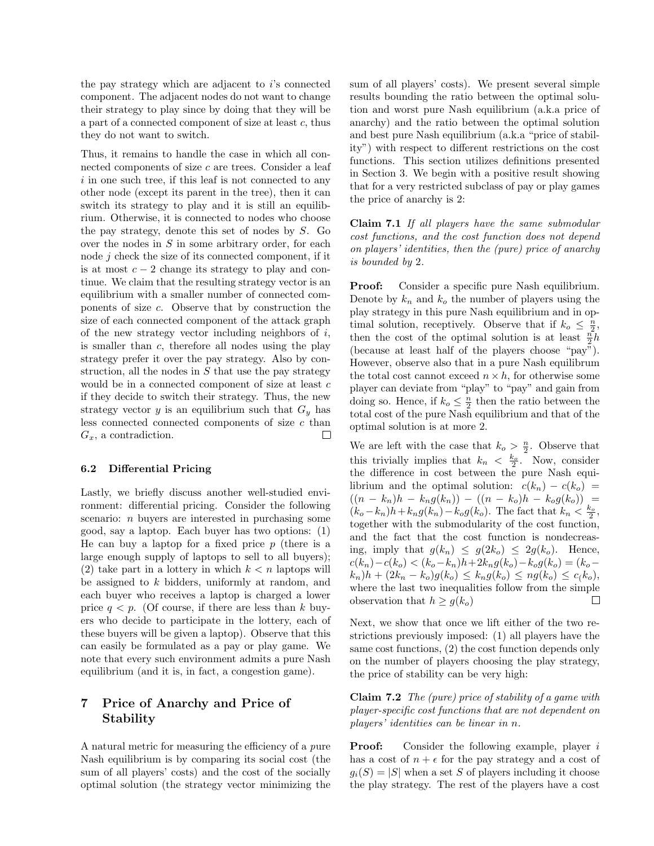the pay strategy which are adjacent to *i*'s connected component. The adjacent nodes do not want to change their strategy to play since by doing that they will be a part of a connected component of size at least *c*, thus they do not want to switch.

Thus, it remains to handle the case in which all connected components of size *c* are trees. Consider a leaf *i* in one such tree, if this leaf is not connected to any other node (except its parent in the tree), then it can switch its strategy to play and it is still an equilibrium. Otherwise, it is connected to nodes who choose the pay strategy, denote this set of nodes by *S*. Go over the nodes in *S* in some arbitrary order, for each node *j* check the size of its connected component, if it is at most  $c - 2$  change its strategy to play and continue. We claim that the resulting strategy vector is an equilibrium with a smaller number of connected components of size *c*. Observe that by construction the size of each connected component of the attack graph of the new strategy vector including neighbors of *i*, is smaller than *c*, therefore all nodes using the play strategy prefer it over the pay strategy. Also by construction, all the nodes in *S* that use the pay strategy would be in a connected component of size at least *c* if they decide to switch their strategy. Thus, the new strategy vector  $y$  is an equilibrium such that  $G_y$  has less connected connected components of size *c* than  $\Box$ *Gx*, a contradiction.

## 6.2 Differential Pricing

Lastly, we briefly discuss another well-studied environment: differential pricing. Consider the following scenario: *n* buyers are interested in purchasing some good, say a laptop. Each buyer has two options: (1) He can buy a laptop for a fixed price *p* (there is a large enough supply of laptops to sell to all buyers); (2) take part in a lottery in which  $k < n$  laptops will be assigned to *k* bidders, uniformly at random, and each buyer who receives a laptop is charged a lower price  $q < p$ . (Of course, if there are less than k buyers who decide to participate in the lottery, each of these buyers will be given a laptop). Observe that this can easily be formulated as a pay or play game. We note that every such environment admits a pure Nash equilibrium (and it is, in fact, a congestion game).

# 7 Price of Anarchy and Price of Stability

A natural metric for measuring the efficiency of a *pure* Nash equilibrium is by comparing its social cost (the sum of all players' costs) and the cost of the socially optimal solution (the strategy vector minimizing the

sum of all players' costs). We present several simple results bounding the ratio between the optimal solution and worst pure Nash equilibrium (a.k.a price of anarchy) and the ratio between the optimal solution and best pure Nash equilibrium (a.k.a "price of stability") with respect to different restrictions on the cost functions. This section utilizes definitions presented in Section 3. We begin with a positive result showing that for a very restricted subclass of pay or play games the price of anarchy is 2:

Claim 7.1 *If all players have the same submodular cost functions, and the cost function does not depend on players' identities, then the (pure) price of anarchy is bounded by* 2*.*

Proof: Consider a specific pure Nash equilibrium. Denote by  $k_n$  and  $k_o$  the number of players using the play strategy in this pure Nash equilibrium and in optimal solution, receptively. Observe that if  $k_o \leq \frac{n}{2}$ , then the cost of the optimal solution is at least  $\frac{n}{2}h$ (because at least half of the players choose "pay"). However, observe also that in a pure Nash equilibrum the total cost cannot exceed  $n \times h$ , for otherwise some player can deviate from "play" to "pay" and gain from doing so. Hence, if  $k_o \leq \frac{n}{2}$  then the ratio between the total cost of the pure Nash equilibrium and that of the optimal solution is at more 2.

We are left with the case that  $k_o > \frac{n}{2}$ . Observe that this trivially implies that  $k_n < \frac{k_o}{2}$ . Now, consider the difference in cost between the pure Nash equilibrium and the optimal solution:  $c(k_n) - c(k_o) =$  $((n - k_n)h - k_ng(k_n)) - ((n - k_o)h - k_og(k_o)) =$  $(k_o - k_n)h + k_n g(k_n) - k_o g(k_o)$ . The fact that  $k_n < \frac{k_o}{2}$ , together with the submodularity of the cost function, and the fact that the cost function is nondecreasing, imply that  $g(k_n) \leq g(2k_o) \leq 2g(k_o)$ . Hence,  $c(k_n) - c(k_o) < (k_o - k_n)h + 2k_n g(k_o) - k_o g(k_o) = (k_o - k_o)$  $k_n$ )*h* + (2 $k_n - k_o$ ) $g(k_o) \leq k_n g(k_o) \leq n g(k_o) \leq c(k_o)$ , where the last two inequalities follow from the simple observation that  $h \geq g(k_o)$ Г

Next, we show that once we lift either of the two restrictions previously imposed: (1) all players have the same cost functions, (2) the cost function depends only on the number of players choosing the play strategy, the price of stability can be very high:

Claim 7.2 *The (pure) price of stability of a game with player-specific cost functions that are not dependent on players' identities can be linear in n.*

Proof: Consider the following example, player *i* has a cost of  $n + \epsilon$  for the pay strategy and a cost of  $q_i(S) = |S|$  when a set *S* of players including it choose the play strategy. The rest of the players have a cost